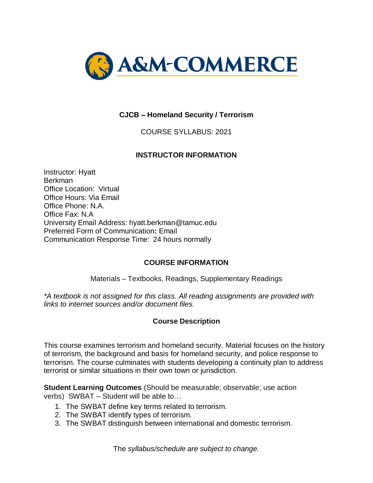

## **CJCB – Homeland Security / Terrorism**

COURSE SYLLABUS: 2021

#### **INSTRUCTOR INFORMATION**

Instructor: Hyatt Berkman Office Location: Virtual Office Hours: Via Email Office Phone: N.A. Office Fax: N.A University Email Address: hyatt.berkman@tamuc.edu Preferred Form of Communication**:** Email Communication Response Time: 24 hours normally

#### **COURSE INFORMATION**

Materials – Textbooks, Readings, Supplementary Readings

*\*A textbook is not assigned for this class. All reading assignments are provided with links to internet sources and/or document files.*

#### **Course Description**

This course examines terrorism and homeland security. Material focuses on the history of terrorism, the background and basis for homeland security, and police response to terrorism. The course culminates with students developing a continuity plan to address terrorist or similar situations in their own town or jurisdiction.

**Student Learning Outcomes** (Should be measurable; observable; use action verbs) SWBAT – Student will be able to…

- 1. The SWBAT define key terms related to terrorism.
- 2. The SWBAT identify types of terrorism.
- 3. The SWBAT distinguish between international and domestic terrorism.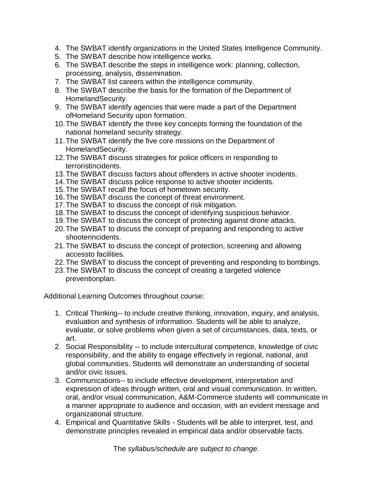- 4. The SWBAT identify organizations in the United States Intelligence Community.
- 5. The SWBAT describe how intelligence works.
- 6. The SWBAT describe the steps in intelligence work: planning, collection, processing, analysis, dissemination.
- 7. The SWBAT list careers within the intelligence community.
- 8. The SWBAT describe the basis for the formation of the Department of HomelandSecurity.
- 9. The SWBAT identify agencies that were made a part of the Department ofHomeland Security upon formation.
- 10.The SWBAT identify the three key concepts forming the foundation of the national homeland security strategy.
- 11.The SWBAT identify the five core missions on the Department of HomelandSecurity.
- 12.The SWBAT discuss strategies for police officers in responding to terroristincidents.
- 13.The SWBAT discuss factors about offenders in active shooter incidents.
- 14.The SWBAT discuss police response to active shooter incidents.
- 15.The SWBAT recall the focus of hometown security.
- 16.The SWBAT discuss the concept of threat environment.
- 17.The SWBAT to discuss the concept of risk mitigation.
- 18.The SWBAT to discuss the concept of identifying suspicious behavior.
- 19.The SWBAT to discuss the concept of protecting against drone attacks.
- 20.The SWBAT to discuss the concept of preparing and responding to active shooterincidents.
- 21.The SWBAT to discuss the concept of protection, screening and allowing accessto facilities.
- 22.The SWBAT to discuss the concept of preventing and responding to bombings.
- 23.The SWBAT to discuss the concept of creating a targeted violence preventionplan.

Additional Learning Outcomes throughout course:

- 1. Critical Thinking-- to include creative thinking, innovation, inquiry, and analysis, evaluation and synthesis of information. Students will be able to analyze, evaluate, or solve problems when given a set of circumstances, data, texts, or art.
- 2. Social Responsibility -- to include intercultural competence, knowledge of civic responsibility, and the ability to engage effectively in regional, national, and global communities. Students will demonstrate an understanding of societal and/or civic issues.
- 3. Communications-- to include effective development, interpretation and expression of ideas through written, oral and visual communication. In written, oral, and/or visual communication, A&M-Commerce students will communicate in a manner appropriate to audience and occasion, with an evident message and organizational structure.
- 4. Empirical and Quantitative Skills Students will be able to interpret, test, and demonstrate principles revealed in empirical data and/or observable facts.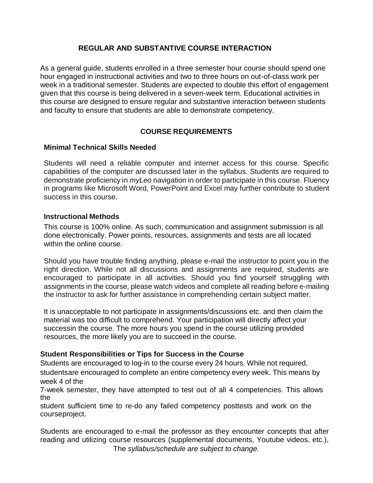## **REGULAR AND SUBSTANTIVE COURSE INTERACTION**

As a general guide, students enrolled in a three semester hour course should spend one hour engaged in instructional activities and two to three hours on out-of-class work per week in a traditional semester. Students are expected to double this effort of engagement given that this course is being delivered in a seven-week term. Educational activities in this course are designed to ensure regular and substantive interaction between students and faculty to ensure that students are able to demonstrate competency.

## **COURSE REQUIREMENTS**

#### **Minimal Technical Skills Needed**

Students will need a reliable computer and internet access for this course. Specific capabilities of the computer are discussed later in the syllabus. Students are required to demonstrate proficiency in *myLeo* navigation in order to participate in this course. Fluency in programs like Microsoft Word, PowerPoint and Excel may further contribute to student success in this course.

#### **Instructional Methods**

This course is 100% online. As such, communication and assignment submission is all done electronically. Power points, resources, assignments and tests are all located within the online course.

Should you have trouble finding anything, please e-mail the instructor to point you in the right direction. While not all discussions and assignments are required, students are encouraged to participate in all activities. Should you find yourself struggling with assignments in the course, please watch videos and complete all reading before e-mailing the instructor to ask for further assistance in comprehending certain subject matter.

It is unacceptable to not participate in assignments/discussions etc. and then claim the material was too difficult to comprehend. Your participation will directly affect your successin the course. The more hours you spend in the course utilizing provided resources, the more likely you are to succeed in the course.

#### **Student Responsibilities or Tips for Success in the Course**

Students are encouraged to log-in to the course every 24 hours. While not required, studentsare encouraged to complete an entire competency every week. This means by week 4 of the

7-week semester, they have attempted to test out of all 4 competencies. This allows the

student sufficient time to re-do any failed competency posttests and work on the courseproject.

The *syllabus/schedule are subject to change.* Students are encouraged to e-mail the professor as they encounter concepts that after reading and utilizing course resources (supplemental documents, Youtube videos, etc.),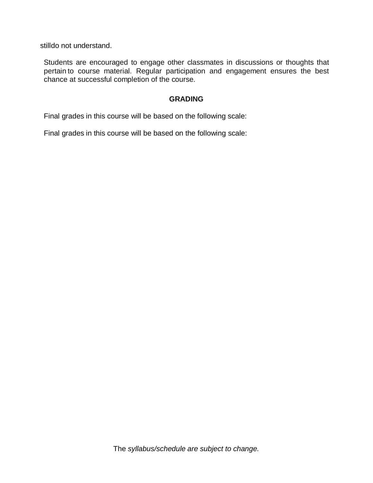stilldo not understand.

Students are encouraged to engage other classmates in discussions or thoughts that pertain to course material. Regular participation and engagement ensures the best chance at successful completion of the course.

#### **GRADING**

Final grades in this course will be based on the following scale:

Final grades in this course will be based on the following scale: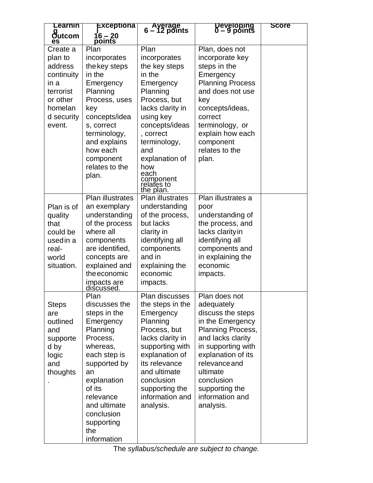| Learnin                                                                                                          | Exceptiona                                                                                                                                                                                                                           | Ayerage<br>6 – 12 points                                                                                                                                                                                                              | Developing<br>0 – 9 points                                                                                                                                                                                                                              | <b>Score</b> |
|------------------------------------------------------------------------------------------------------------------|--------------------------------------------------------------------------------------------------------------------------------------------------------------------------------------------------------------------------------------|---------------------------------------------------------------------------------------------------------------------------------------------------------------------------------------------------------------------------------------|---------------------------------------------------------------------------------------------------------------------------------------------------------------------------------------------------------------------------------------------------------|--------------|
| g<br>Outcom<br>es                                                                                                | 16 – 20<br>points                                                                                                                                                                                                                    |                                                                                                                                                                                                                                       |                                                                                                                                                                                                                                                         |              |
| Create a<br>plan to<br>address<br>continuity<br>in a<br>terrorist<br>or other<br>homelan<br>d security<br>event. | Plan<br>incorporates<br>the key steps<br>in the<br>Emergency<br>Planning<br>Process, uses<br>key<br>concepts/idea<br>s, correct<br>terminology,<br>and explains<br>how each<br>component<br>relates to the                           | Plan<br>incorporates<br>the key steps<br>in the<br>Emergency<br>Planning<br>Process, but<br>lacks clarity in<br>using key<br>concepts/ideas<br>, correct<br>terminology,<br>and<br>explanation of<br>how                              | Plan, does not<br>incorporate key<br>steps in the<br>Emergency<br><b>Planning Process</b><br>and does not use<br>key<br>concepts/ideas,<br>correct<br>terminology, or<br>explain how each<br>component<br>relates to the<br>plan.                       |              |
|                                                                                                                  | plan.                                                                                                                                                                                                                                | each<br>component<br>relates to<br>the plan.                                                                                                                                                                                          |                                                                                                                                                                                                                                                         |              |
| Plan is of<br>quality<br>that<br>could be<br>used in a<br>real-<br>world<br>situation.                           | Plan illustrates<br>an exemplary<br>understanding<br>of the process<br>where all<br>components<br>are identified,<br>concepts are<br>explained and<br>the economic<br>impacts are<br>discussed.                                      | <b>Plan illustrates</b><br>understanding<br>of the process,<br>but lacks<br>clarity in<br>identifying all<br>components<br>and in<br>explaining the<br>economic<br>impacts.                                                           | Plan illustrates a<br>poor<br>understanding of<br>the process, and<br>lacks clarity in<br>identifying all<br>components and<br>in explaining the<br>economic<br>impacts.                                                                                |              |
| <b>Steps</b><br>are<br>outlined<br>and<br>supporte<br>d by<br>logic<br>and<br>thoughts                           | Plan<br>discusses the<br>steps in the<br>Emergency<br>Planning<br>Process,<br>whereas,<br>each step is<br>supported by<br>an<br>explanation<br>of its<br>relevance<br>and ultimate<br>conclusion<br>supporting<br>the<br>information | Plan discusses<br>the steps in the<br>Emergency<br>Planning<br>Process, but<br>lacks clarity in<br>supporting with<br>explanation of<br>its relevance<br>and ultimate<br>conclusion<br>supporting the<br>information and<br>analysis. | Plan does not<br>adequately<br>discuss the steps<br>in the Emergency<br>Planning Process,<br>and lacks clarity<br>in supporting with<br>explanation of its<br>relevance and<br>ultimate<br>conclusion<br>supporting the<br>information and<br>analysis. |              |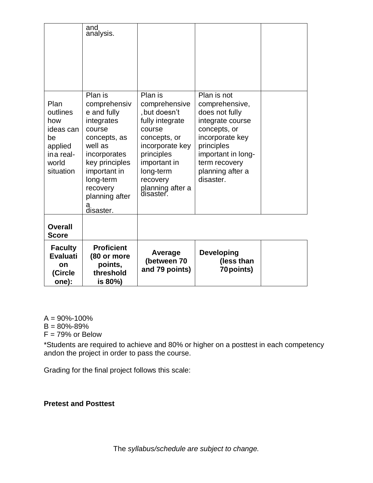|                                                                                          | and<br>analysis.                                                                                                                                                                                         |                                                                                                                                                                                                   |                                                                                                                                                                                              |  |
|------------------------------------------------------------------------------------------|----------------------------------------------------------------------------------------------------------------------------------------------------------------------------------------------------------|---------------------------------------------------------------------------------------------------------------------------------------------------------------------------------------------------|----------------------------------------------------------------------------------------------------------------------------------------------------------------------------------------------|--|
| Plan<br>outlines<br>how<br>ideas can<br>be<br>applied<br>ina real-<br>world<br>situation | Plan is<br>comprehensiv<br>e and fully<br>integrates<br>course<br>concepts, as<br>well as<br>incorporates<br>key principles<br>important in<br>long-term<br>recovery<br>planning after<br>a<br>disaster. | Plan is<br>comprehensive<br>, but doesn't<br>fully integrate<br>course<br>concepts, or<br>incorporate key<br>principles<br>important in<br>long-term<br>recovery<br>planning after a<br>disaster. | Plan is not<br>comprehensive,<br>does not fully<br>integrate course<br>concepts, or<br>incorporate key<br>principles<br>important in long-<br>term recovery<br>planning after a<br>disaster. |  |
| <b>Overall</b><br><b>Score</b>                                                           |                                                                                                                                                                                                          |                                                                                                                                                                                                   |                                                                                                                                                                                              |  |
| <b>Faculty</b><br><b>Evaluati</b><br>on<br>(Circle<br>one):                              | <b>Proficient</b><br>(80 or more<br>points,<br>threshold<br>is 80%)                                                                                                                                      | Average<br>(between 70<br>and 79 points)                                                                                                                                                          | <b>Developing</b><br>(less than<br>70 points)                                                                                                                                                |  |

 $A = 90\% - 100\%$ 

 $B = 80\% - 89\%$ 

 $F = 79%$  or Below

\*Students are required to achieve and 80% or higher on a posttest in each competency andon the project in order to pass the course.

Grading for the final project follows this scale:

## **Pretest and Posttest**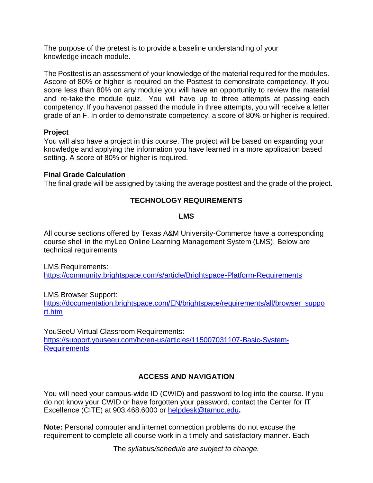The purpose of the pretest is to provide a baseline understanding of your knowledge ineach module.

The Posttest is an assessment of your knowledge of the material required for the modules. Ascore of 80% or higher is required on the Posttest to demonstrate competency. If you score less than 80% on any module you will have an opportunity to review the material and re-take the module quiz. You will have up to three attempts at passing each competency. If you havenot passed the module in three attempts, you will receive a letter grade of an F. In order to demonstrate competency, a score of 80% or higher is required.

#### **Project**

You will also have a project in this course. The project will be based on expanding your knowledge and applying the information you have learned in a more application based setting. A score of 80% or higher is required.

#### **Final Grade Calculation**

The final grade will be assigned by taking the average posttest and the grade of the project.

## **TECHNOLOGY REQUIREMENTS**

#### **LMS**

All course sections offered by Texas A&M University-Commerce have a corresponding course shell in the myLeo Online Learning Management System (LMS). Below are technical requirements

LMS Requirements:

<https://community.brightspace.com/s/article/Brightspace-Platform-Requirements>

LMS Browser Support:

[https://documentation.brightspace.com/EN/brightspace/requirements/all/browser\\_suppo](https://documentation.brightspace.com/EN/brightspace/requirements/all/browser_support.htm) [rt.htm](https://documentation.brightspace.com/EN/brightspace/requirements/all/browser_support.htm)

YouSeeU Virtual Classroom Requirements: [https://support.youseeu.com/hc/en-us/articles/115007031107-Basic-System-](https://support.youseeu.com/hc/en-us/articles/115007031107-Basic-System-Requirements)**[Requirements](https://support.youseeu.com/hc/en-us/articles/115007031107-Basic-System-Requirements)** 

## **ACCESS AND NAVIGATION**

You will need your campus-wide ID (CWID) and password to log into the course. If you do not know your CWID or have forgotten your password, contact the Center for IT Excellence (CITE) at 903.468.6000 or [helpdesk@tamuc.edu](mailto:helpdesk@tamuc.edu)**.**

**Note:** Personal computer and internet connection problems do not excuse the requirement to complete all course work in a timely and satisfactory manner. Each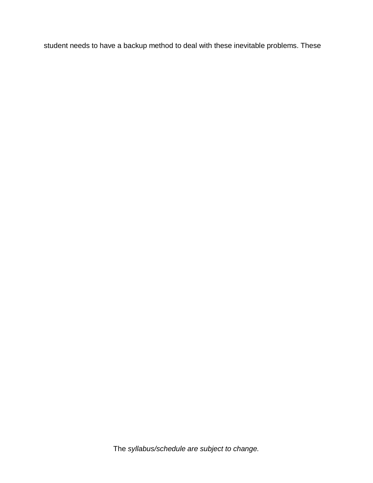student needs to have a backup method to deal with these inevitable problems. These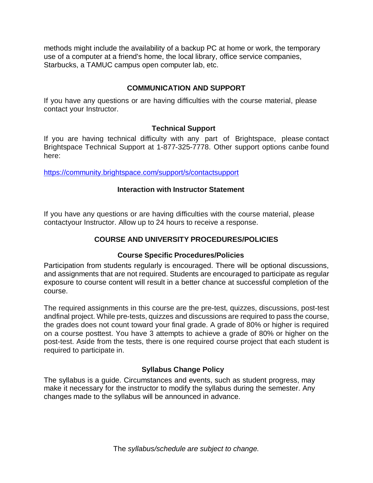methods might include the availability of a backup PC at home or work, the temporary use of a computer at a friend's home, the local library, office service companies, Starbucks, a TAMUC campus open computer lab, etc.

## **COMMUNICATION AND SUPPORT**

If you have any questions or are having difficulties with the course material, please contact your Instructor.

#### **Technical Support**

If you are having technical difficulty with any part of Brightspace, please contact Brightspace Technical Support at 1-877-325-7778. Other support options canbe found here:

<https://community.brightspace.com/support/s/contactsupport>

#### **Interaction with Instructor Statement**

If you have any questions or are having difficulties with the course material, please contactyour Instructor. Allow up to 24 hours to receive a response.

## **COURSE AND UNIVERSITY PROCEDURES/POLICIES**

#### **Course Specific Procedures/Policies**

Participation from students regularly is encouraged. There will be optional discussions, and assignments that are not required. Students are encouraged to participate as regular exposure to course content will result in a better chance at successful completion of the course.

The required assignments in this course are the pre-test, quizzes, discussions, post-test andfinal project. While pre-tests, quizzes and discussions are required to pass the course, the grades does not count toward your final grade. A grade of 80% or higher is required on a course posttest. You have 3 attempts to achieve a grade of 80% or higher on the post-test. Aside from the tests, there is one required course project that each student is required to participate in.

#### **Syllabus Change Policy**

The syllabus is a guide. Circumstances and events, such as student progress, may make it necessary for the instructor to modify the syllabus during the semester. Any changes made to the syllabus will be announced in advance.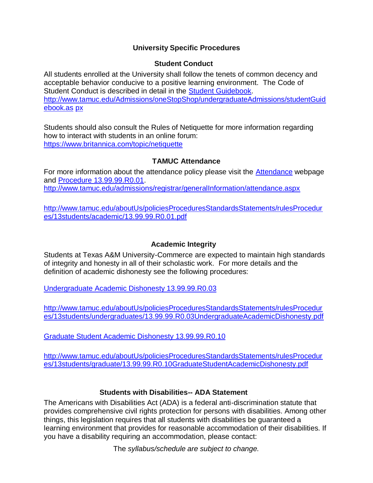## **University Specific Procedures**

#### **Student Conduct**

All students enrolled at the University shall follow the tenets of common decency and acceptable behavior conducive to a positive learning environment. The Code of Student Conduct is described in detail in the [Student Guidebook.](http://www.tamuc.edu/Admissions/oneStopShop/undergraduateAdmissions/studentGuidebook.aspx) [http://www.tamuc.edu/Admissions/oneStopShop/undergraduateAdmissions/studentGuid](http://www.tamuc.edu/Admissions/oneStopShop/undergraduateAdmissions/studentGuidebook.aspx) [ebook.as](http://www.tamuc.edu/Admissions/oneStopShop/undergraduateAdmissions/studentGuidebook.aspx) [px](http://www.tamuc.edu/Admissions/oneStopShop/undergraduateAdmissions/studentGuidebook.aspx)

Students should also consult the Rules of Netiquette for more information regarding how to interact with students in an online forum: <https://www.britannica.com/topic/netiquette>

#### **TAMUC Attendance**

For more information about the attendance policy please visit the [Attendance](http://www.tamuc.edu/admissions/registrar/generalInformation/attendance.aspx) webpage and [Procedure 13.99.99.R0.01.](http://www.tamuc.edu/aboutUs/policiesProceduresStandardsStatements/rulesProcedures/13students/academic/13.99.99.R0.01.pdf) <http://www.tamuc.edu/admissions/registrar/generalInformation/attendance.aspx>

[http://www.tamuc.edu/aboutUs/policiesProceduresStandardsStatements/rulesProcedur](http://www.tamuc.edu/aboutUs/policiesProceduresStandardsStatements/rulesProcedures/13students/academic/13.99.99.R0.01.pdf) [es/13students/academic/13.99.99.R0.01.pdf](http://www.tamuc.edu/aboutUs/policiesProceduresStandardsStatements/rulesProcedures/13students/academic/13.99.99.R0.01.pdf)

#### **Academic Integrity**

Students at Texas A&M University-Commerce are expected to maintain high standards of integrity and honesty in all of their scholastic work. For more details and the definition of academic dishonesty see the following procedures:

Undergraduate Academic Dishonesty [13.99.99.R0.03](http://www.tamuc.edu/aboutUs/policiesProceduresStandardsStatements/rulesProcedures/13students/undergraduates/13.99.99.R0.03UndergraduateAcademicDishonesty.pdf)

[http://www.tamuc.edu/aboutUs/policiesProceduresStandardsStatements/rulesProcedur](http://www.tamuc.edu/aboutUs/policiesProceduresStandardsStatements/rulesProcedures/13students/undergraduates/13.99.99.R0.03UndergraduateAcademicDishonesty.pdf) [es/13students/undergraduates/13.99.99.R0.03UndergraduateAcademicDishonesty.pdf](http://www.tamuc.edu/aboutUs/policiesProceduresStandardsStatements/rulesProcedures/13students/undergraduates/13.99.99.R0.03UndergraduateAcademicDishonesty.pdf)

Graduate Student Academic Dishonesty [13.99.99.R0.10](http://www.tamuc.edu/aboutUs/policiesProceduresStandardsStatements/rulesProcedures/13students/graduate/13.99.99.R0.10GraduateStudentAcademicDishonesty.pdf)

[http://www.tamuc.edu/aboutUs/policiesProceduresStandardsStatements/rulesProcedur](http://www.tamuc.edu/aboutUs/policiesProceduresStandardsStatements/rulesProcedures/13students/graduate/13.99.99.R0.10GraduateStudentAcademicDishonesty.pdf) [es/13students/graduate/13.99.99.R0.10GraduateStudentAcademicDishonesty.pdf](http://www.tamuc.edu/aboutUs/policiesProceduresStandardsStatements/rulesProcedures/13students/graduate/13.99.99.R0.10GraduateStudentAcademicDishonesty.pdf)

#### **Students with Disabilities-- ADA Statement**

The Americans with Disabilities Act (ADA) is a federal anti-discrimination statute that provides comprehensive civil rights protection for persons with disabilities. Among other things, this legislation requires that all students with disabilities be guaranteed a learning environment that provides for reasonable accommodation of their disabilities. If you have a disability requiring an accommodation, please contact: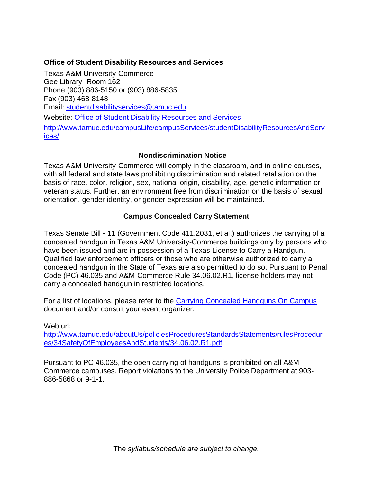#### **Office of Student Disability Resources and Services**

Texas A&M University-Commerce Gee Library- Room 162 Phone (903) 886-5150 or (903) 886-5835 Fax (903) 468-8148 Email: [studentdisabilityservices@tamuc.edu](mailto:studentdisabilityservices@tamuc.edu) Website: Office of Student Disability [Resources](http://www.tamuc.edu/campusLife/campusServices/studentDisabilityResourcesAndServices/) and Services [http://www.tamuc.edu/campusLife/campusServices/studentDisabilityResourcesAndServ](http://www.tamuc.edu/campusLife/campusServices/studentDisabilityResourcesAndServices/) [ices/](http://www.tamuc.edu/campusLife/campusServices/studentDisabilityResourcesAndServices/)

## **Nondiscrimination Notice**

Texas A&M University-Commerce will comply in the classroom, and in online courses, with all federal and state laws prohibiting discrimination and related retaliation on the basis of race, color, religion, sex, national origin, disability, age, genetic information or veteran status. Further, an environment free from discrimination on the basis of sexual orientation, gender identity, or gender expression will be maintained.

## **Campus Concealed Carry Statement**

Texas Senate Bill - 11 (Government Code 411.2031, et al.) authorizes the carrying of a concealed handgun in Texas A&M University-Commerce buildings only by persons who have been issued and are in possession of a Texas License to Carry a Handgun. Qualified law enforcement officers or those who are otherwise authorized to carry a concealed handgun in the State of Texas are also permitted to do so. Pursuant to Penal Code (PC) 46.035 and A&M-Commerce Rule 34.06.02.R1, license holders may not carry a concealed handgun in restricted locations.

For a list of locations, please refer to the [Carrying Concealed Handguns On Campus](http://www.tamuc.edu/aboutUs/policiesProceduresStandardsStatements/rulesProcedures/34SafetyOfEmployeesAndStudents/34.06.02.R1.pdf) document and/or consult your event organizer.

Web url:

[http://www.tamuc.edu/aboutUs/policiesProceduresStandardsStatements/rulesProcedur](http://www.tamuc.edu/aboutUs/policiesProceduresStandardsStatements/rulesProcedures/34SafetyOfEmployeesAndStudents/34.06.02.R1.pdf) [es/34SafetyOfEmployeesAndStudents/34.06.02.R1.pdf](http://www.tamuc.edu/aboutUs/policiesProceduresStandardsStatements/rulesProcedures/34SafetyOfEmployeesAndStudents/34.06.02.R1.pdf)

Pursuant to PC 46.035, the open carrying of handguns is prohibited on all A&M-Commerce campuses. Report violations to the University Police Department at 903- 886-5868 or 9-1-1.